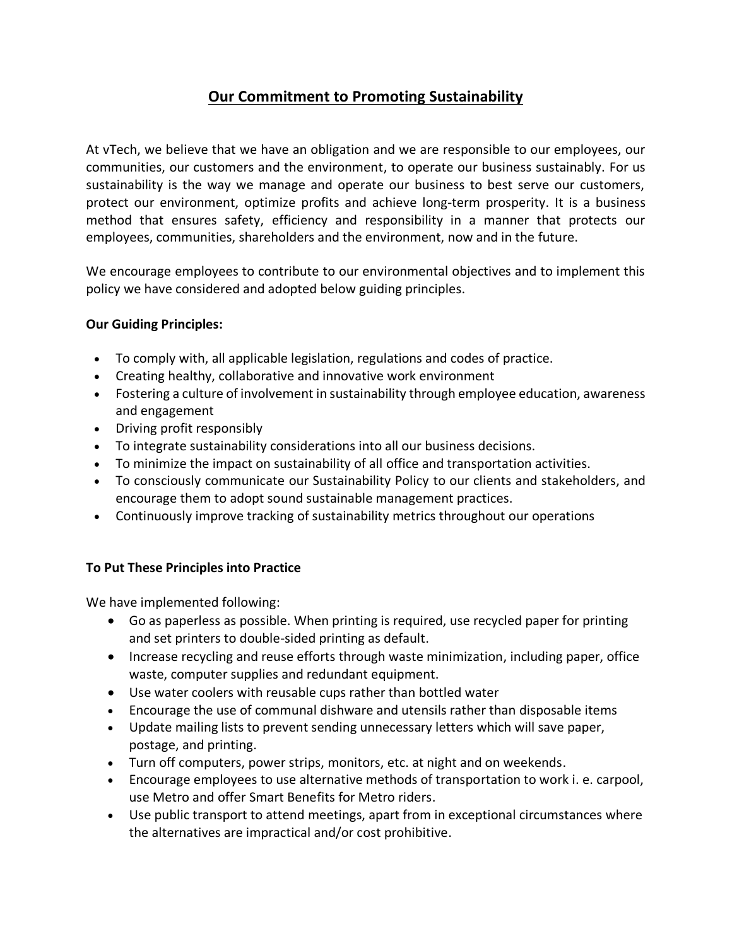## **Our Commitment to Promoting Sustainability**

At vTech, we believe that we have an obligation and we are responsible to our employees, our communities, our customers and the environment, to operate our business sustainably. For us sustainability is the way we manage and operate our business to best serve our customers, protect our environment, optimize profits and achieve long-term prosperity. It is a business method that ensures safety, efficiency and responsibility in a manner that protects our employees, communities, shareholders and the environment, now and in the future.

We encourage employees to contribute to our environmental objectives and to implement this policy we have considered and adopted below guiding principles.

## **Our Guiding Principles:**

- To comply with, all applicable legislation, regulations and codes of practice.
- Creating healthy, collaborative and innovative work environment
- Fostering a culture of involvement in sustainability through employee education, awareness and engagement
- Driving profit responsibly
- To integrate sustainability considerations into all our business decisions.
- To minimize the impact on sustainability of all office and transportation activities.
- To consciously communicate our Sustainability Policy to our clients and stakeholders, and encourage them to adopt sound sustainable management practices.
- Continuously improve tracking of sustainability metrics throughout our operations

## **To Put These Principles into Practice**

We have implemented following:

- Go as paperless as possible. When printing is required, use recycled paper for printing and set printers to double-sided printing as default.
- Increase recycling and reuse efforts through waste minimization, including paper, office waste, computer supplies and redundant equipment.
- Use water coolers with reusable cups rather than bottled water
- Encourage the use of communal dishware and utensils rather than disposable items
- Update mailing lists to prevent sending unnecessary letters which will save paper, postage, and printing.
- Turn off computers, power strips, monitors, etc. at night and on weekends.
- Encourage employees to use alternative methods of transportation to work i. e. carpool, use Metro and offer Smart Benefits for Metro riders.
- Use public transport to attend meetings, apart from in exceptional circumstances where the alternatives are impractical and/or cost prohibitive.